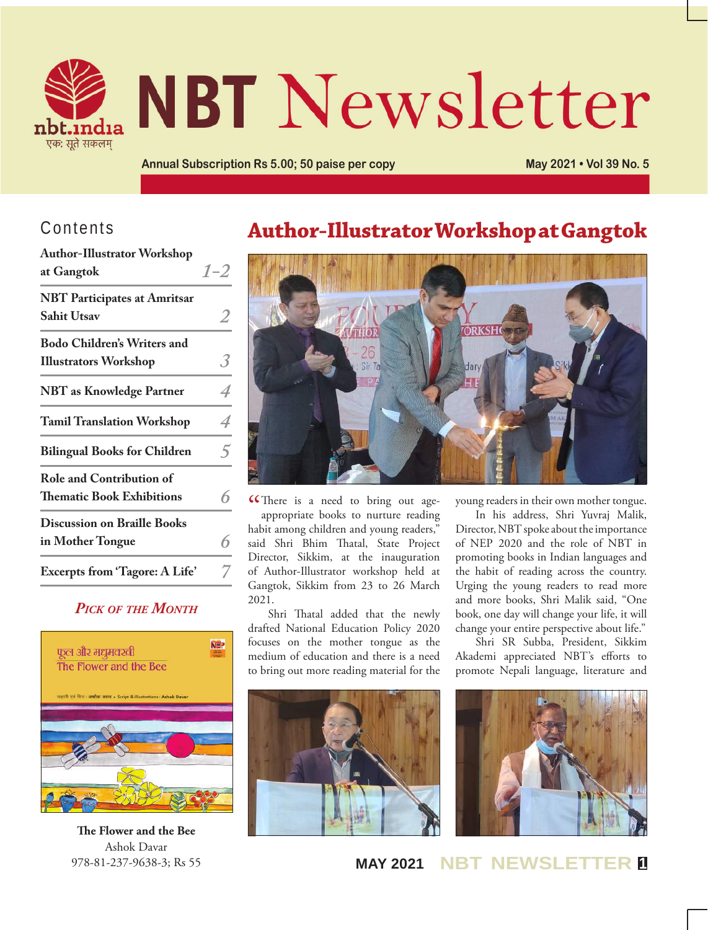

# **NBT** Newsletter

**Annual Subscription Rs 5.00; 50 paise per copy May 2021 • Vol 39 No. 5**

## Contents

| <b>Author-Illustrator Workshop</b>    |         |
|---------------------------------------|---------|
| at Gangtok                            | $1 - 2$ |
| <b>NBT</b> Participates at Amritsar   |         |
| <b>Sahit Utsav</b>                    |         |
| <b>Bodo Children's Writers and</b>    |         |
| <b>Illustrators Workshop</b>          | 3.      |
| <b>NBT</b> as Knowledge Partner       | 4       |
| <b>Tamil Translation Workshop</b>     | 4       |
| <b>Bilingual Books for Children</b>   | 5       |
| <b>Role and Contribution of</b>       |         |
| <b>Thematic Book Exhibitions</b>      | 6       |
| <b>Discussion on Braille Books</b>    |         |
| in Mother Tongue                      | 6       |
| <b>Excerpts from 'Tagore: A Life'</b> |         |

#### *Pick of the Month*



**The Flower and the Bee** Ashok Davar 978-81-237-9638-3; Rs 55

## **Author-Illustrator Workshop at Gangtok**



CThere is a need to bring out age-<br>appropriate books to nurture reading appropriate books to nurture reading habit among children and young readers," said Shri Bhim Thatal, State Project Director, Sikkim, at the inauguration of Author-Illustrator workshop held at Gangtok, Sikkim from 23 to 26 March 2021.

Shri Thatal added that the newly drafted National Education Policy 2020 focuses on the mother tongue as the medium of education and there is a need to bring out more reading material for the



young readers in their own mother tongue.

In his address, Shri Yuvraj Malik, Director, NBT spoke about the importance of NEP 2020 and the role of NBT in promoting books in Indian languages and the habit of reading across the country. Urging the young readers to read more and more books, Shri Malik said, "One book, one day will change your life, it will change your entire perspective about life."

Shri SR Subba, President, Sikkim Akademi appreciated NBT's efforts to promote Nepali language, literature and



**MAY 2021 NBT NEWSLET**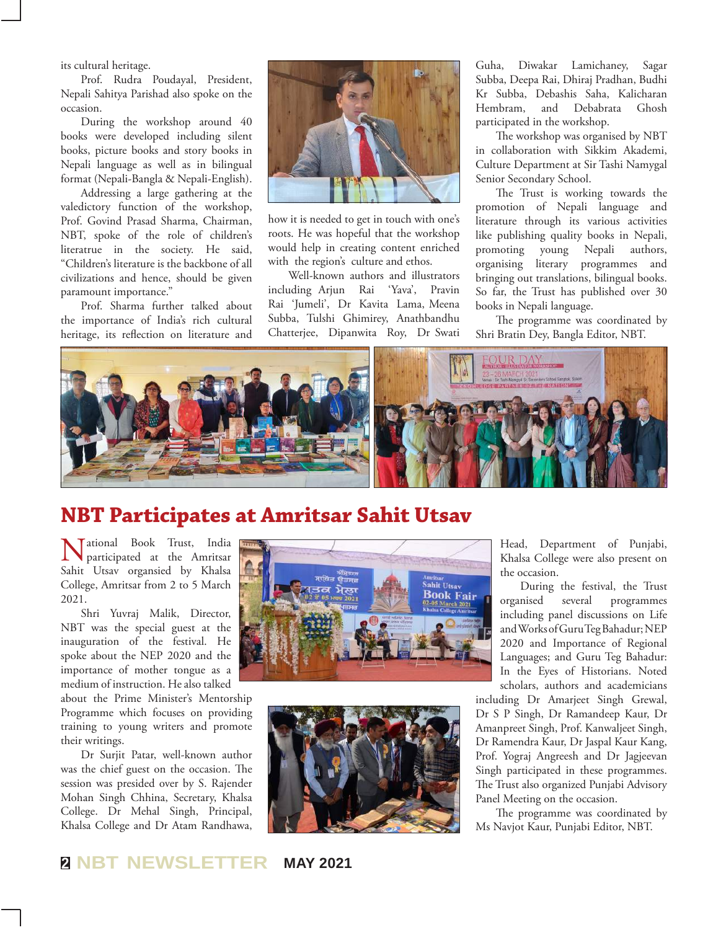its cultural heritage.

Prof. Rudra Poudayal, President, Nepali Sahitya Parishad also spoke on the occasion.

During the workshop around 40 books were developed including silent books, picture books and story books in Nepali language as well as in bilingual format (Nepali-Bangla & Nepali-English).

Addressing a large gathering at the valedictory function of the workshop, Prof. Govind Prasad Sharma, Chairman, NBT, spoke of the role of children's literatrue in the society. He said, "Children's literature is the backbone of all civilizations and hence, should be given paramount importance."

Prof. Sharma further talked about the importance of India's rich cultural heritage, its reflection on literature and



how it is needed to get in touch with one's roots. He was hopeful that the workshop would help in creating content enriched with the region's culture and ethos.

Well-known authors and illustrators including Arjun Rai 'Yava', Pravin Rai 'Jumeli', Dr Kavita Lama, Meena Subba, Tulshi Ghimirey, Anathbandhu Chatterjee, Dipanwita Roy, Dr Swati Guha, Diwakar Lamichaney, Sagar Subba, Deepa Rai, Dhiraj Pradhan, Budhi Kr Subba, Debashis Saha, Kalicharan Hembram, and Debabrata Ghosh participated in the workshop.

The workshop was organised by NBT in collaboration with Sikkim Akademi, Culture Department at Sir Tashi Namygal Senior Secondary School.

The Trust is working towards the promotion of Nepali language and literature through its various activities like publishing quality books in Nepali, promoting young Nepali authors, organising literary programmes and bringing out translations, bilingual books. So far, the Trust has published over 30 books in Nepali language.

The programme was coordinated by Shri Bratin Dey, Bangla Editor, NBT.



## **NBT Participates at Amritsar Sahit Utsav**

National Book Trust, India participated at the Amritsar Sahit Utsav organsied by Khalsa College, Amritsar from 2 to 5 March 2021.

Shri Yuvraj Malik, Director, NBT was the special guest at the inauguration of the festival. He spoke about the NEP 2020 and the importance of mother tongue as a medium of instruction. He also talked

about the Prime Minister's Mentorship Programme which focuses on providing training to young writers and promote their writings.

Dr Surjit Patar, well-known author was the chief guest on the occasion. The session was presided over by S. Rajender Mohan Singh Chhina, Secretary, Khalsa College. Dr Mehal Singh, Principal, Khalsa College and Dr Atam Randhawa,





Head, Department of Punjabi, Khalsa College were also present on the occasion.

During the festival, the Trust organised several programmes including panel discussions on Life and Works of Guru Teg Bahadur; NEP 2020 and Importance of Regional Languages; and Guru Teg Bahadur: In the Eyes of Historians. Noted scholars, authors and academicians

including Dr Amarjeet Singh Grewal, Dr S P Singh, Dr Ramandeep Kaur, Dr Amanpreet Singh, Prof. Kanwaljeet Singh, Dr Ramendra Kaur, Dr Jaspal Kaur Kang, Prof. Yograj Angreesh and Dr Jagjeevan Singh participated in these programmes. The Trust also organized Punjabi Advisory Panel Meeting on the occasion.

The programme was coordinated by Ms Navjot Kaur, Punjabi Editor, NBT.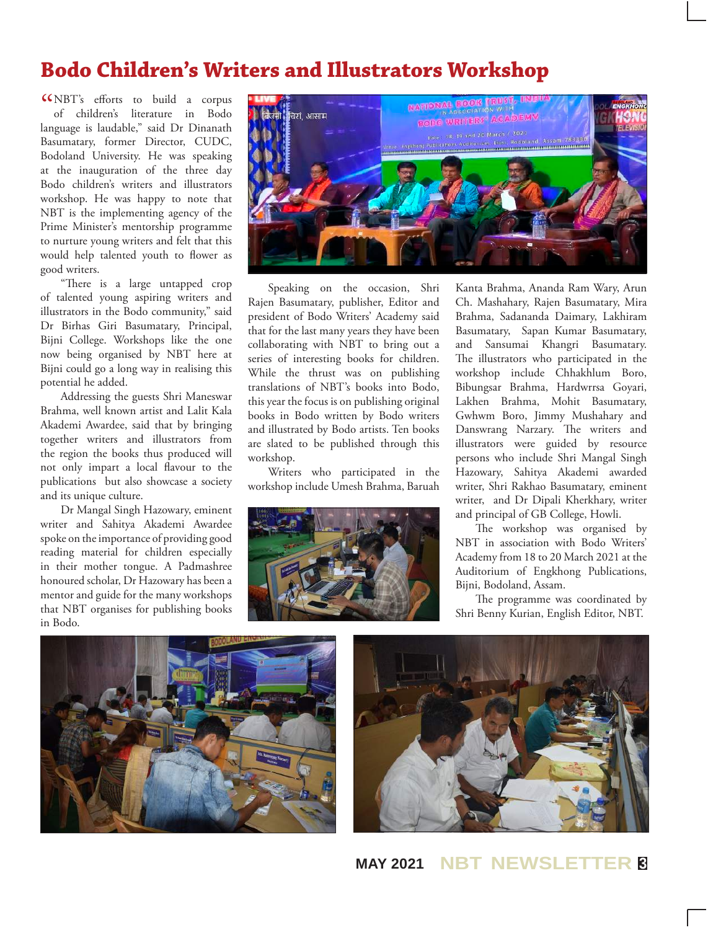## **Bodo Children's Writers and Illustrators Workshop**

" NBT's efforts to build a corpus of children's literature in Bodo language is laudable," said Dr Dinanath Basumatary, former Director, CUDC, Bodoland University. He was speaking at the inauguration of the three day Bodo children's writers and illustrators workshop. He was happy to note that NBT is the implementing agency of the Prime Minister's mentorship programme to nurture young writers and felt that this would help talented youth to flower as good writers.

"There is a large untapped crop of talented young aspiring writers and illustrators in the Bodo community," said Dr Birhas Giri Basumatary, Principal, Bijni College. Workshops like the one now being organised by NBT here at Bijni could go a long way in realising this potential he added.

Addressing the guests Shri Maneswar Brahma, well known artist and Lalit Kala Akademi Awardee, said that by bringing together writers and illustrators from the region the books thus produced will not only impart a local flavour to the publications but also showcase a society and its unique culture.

Dr Mangal Singh Hazowary, eminent writer and Sahitya Akademi Awardee spoke on the importance of providing good reading material for children especially in their mother tongue. A Padmashree honoured scholar, Dr Hazowary has been a mentor and guide for the many workshops that NBT organises for publishing books in Bodo.



Speaking on the occasion, Shri Rajen Basumatary, publisher, Editor and president of Bodo Writers' Academy said that for the last many years they have been collaborating with NBT to bring out a series of interesting books for children. While the thrust was on publishing translations of NBT's books into Bodo, this year the focus is on publishing original books in Bodo written by Bodo writers and illustrated by Bodo artists. Ten books are slated to be published through this workshop.

Writers who participated in the workshop include Umesh Brahma, Baruah



Kanta Brahma, Ananda Ram Wary, Arun Ch. Mashahary, Rajen Basumatary, Mira Brahma, Sadananda Daimary, Lakhiram Basumatary, Sapan Kumar Basumatary, and Sansumai Khangri Basumatary. The illustrators who participated in the workshop include Chhakhlum Boro, Bibungsar Brahma, Hardwrrsa Goyari, Lakhen Brahma, Mohit Basumatary, Gwhwm Boro, Jimmy Mushahary and Danswrang Narzary. The writers and illustrators were guided by resource persons who include Shri Mangal Singh Hazowary, Sahitya Akademi awarded writer, Shri Rakhao Basumatary, eminent writer, and Dr Dipali Kherkhary, writer and principal of GB College, Howli.

The workshop was organised by NBT in association with Bodo Writers' Academy from 18 to 20 March 2021 at the Auditorium of Engkhong Publications, Bijni, Bodoland, Assam.

The programme was coordinated by Shri Benny Kurian, English Editor, NBT.





**MAY 2021 NBT NEWSLETTER <sup>3</sup>**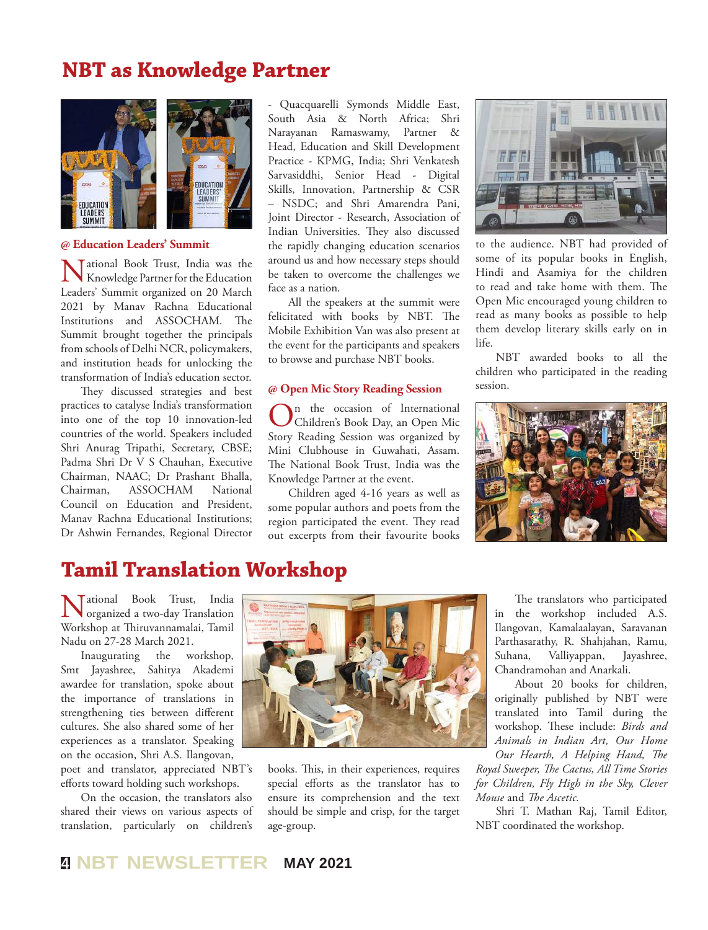## **NBT as Knowledge Partner**





#### **@ Education Leaders' Summit**

Tational Book Trust, India was the Knowledge Partner for the Education Leaders' Summit organized on 20 March 2021 by Manav Rachna Educational Institutions and ASSOCHAM. The Summit brought together the principals from schools of Delhi NCR, policymakers, and institution heads for unlocking the transformation of India's education sector.

They discussed strategies and best practices to catalyse India's transformation into one of the top 10 innovation-led countries of the world. Speakers included Shri Anurag Tripathi, Secretary, CBSE; Padma Shri Dr V S Chauhan, Executive Chairman, NAAC; Dr Prashant Bhalla, Chairman, ASSOCHAM National Council on Education and President, Manav Rachna Educational Institutions; Dr Ashwin Fernandes, Regional Director

- Quacquarelli Symonds Middle East, South Asia & North Africa; Shri Narayanan Ramaswamy, Partner & Head, Education and Skill Development Practice - KPMG, India; Shri Venkatesh Sarvasiddhi, Senior Head - Digital Skills, Innovation, Partnership & CSR – NSDC; and Shri Amarendra Pani, Joint Director - Research, Association of Indian Universities. They also discussed the rapidly changing education scenarios around us and how necessary steps should be taken to overcome the challenges we face as a nation.

All the speakers at the summit were felicitated with books by NBT. The Mobile Exhibition Van was also present at the event for the participants and speakers to browse and purchase NBT books.

#### **@ Open Mic Story Reading Session**

On the occasion of International<br>Children's Book Day, an Open Mic Story Reading Session was organized by Mini Clubhouse in Guwahati, Assam. The National Book Trust, India was the Knowledge Partner at the event.

Children aged 4-16 years as well as some popular authors and poets from the region participated the event. They read out excerpts from their favourite books



to the audience. NBT had provided of some of its popular books in English, Hindi and Asamiya for the children to read and take home with them. The Open Mic encouraged young children to read as many books as possible to help them develop literary skills early on in life.

NBT awarded books to all the children who participated in the reading session.



## **Tamil Translation Workshop**

National Book Trust, India organized a two-day Translation Workshop at Thiruvannamalai, Tamil Nadu on 27-28 March 2021.

Inaugurating the workshop, Smt Jayashree, Sahitya Akademi awardee for translation, spoke about the importance of translations in strengthening ties between different cultures. She also shared some of her experiences as a translator. Speaking on the occasion, Shri A.S. Ilangovan,

poet and translator, appreciated NBT's efforts toward holding such workshops.

On the occasion, the translators also shared their views on various aspects of translation, particularly on children's



books. This, in their experiences, requires special efforts as the translator has to ensure its comprehension and the text should be simple and crisp, for the target age-group.

The translators who participated in the workshop included A.S. Ilangovan, Kamalaalayan, Saravanan Parthasarathy, R. Shahjahan, Ramu, Suhana, Valliyappan, Jayashree, Chandramohan and Anarkali.

About 20 books for children, originally published by NBT were translated into Tamil during the workshop. These include: *Birds and Animals in Indian Art, Our Home Our Hearth, A Helping Hand, The* 

*Royal Sweeper, The Cactus, All Time Stories for Children, Fly High in the Sky, Clever Mouse* and *The Ascetic.*

Shri T. Mathan Raj, Tamil Editor, NBT coordinated the workshop.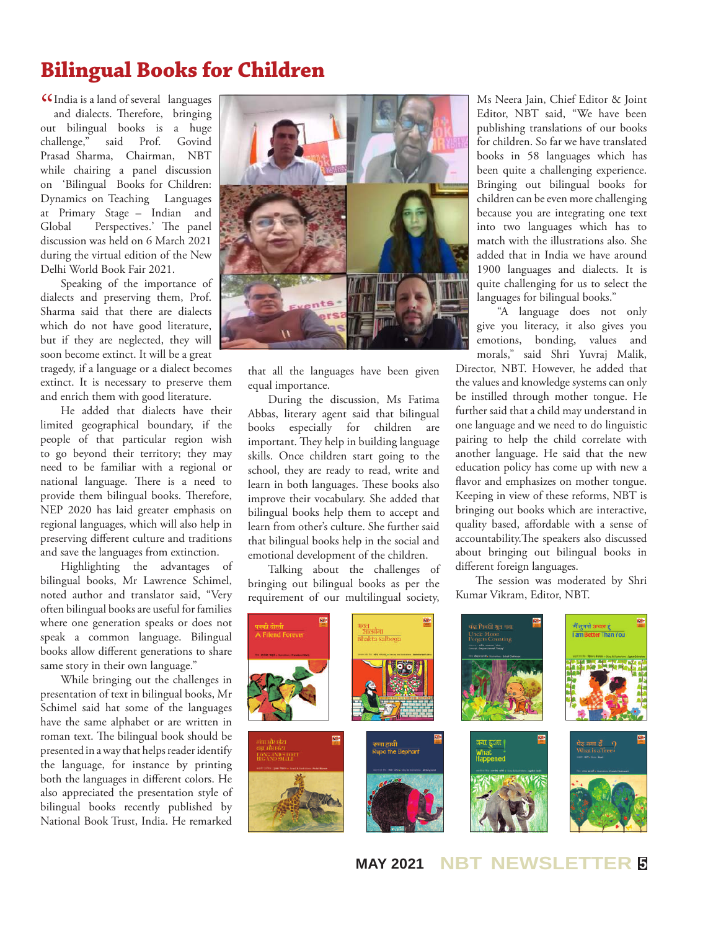## **Bilingual Books for Children**

CIndia is a land of several languages<br>and dialects. Therefore, bringing and dialects. Therefore, bringing out bilingual books is a huge challenge," said Prof. Govind Prasad Sharma, Chairman, NBT while chairing a panel discussion on 'Bilingual Books for Children: Dynamics on Teaching Languages at Primary Stage – Indian and Global Perspectives.' The panel discussion was held on 6 March 2021 during the virtual edition of the New Delhi World Book Fair 2021.

Speaking of the importance of dialects and preserving them, Prof. Sharma said that there are dialects which do not have good literature, but if they are neglected, they will soon become extinct. It will be a great

tragedy, if a language or a dialect becomes extinct. It is necessary to preserve them and enrich them with good literature.

He added that dialects have their limited geographical boundary, if the people of that particular region wish to go beyond their territory; they may need to be familiar with a regional or national language. There is a need to provide them bilingual books. Therefore, NEP 2020 has laid greater emphasis on regional languages, which will also help in preserving different culture and traditions and save the languages from extinction.

Highlighting the advantages of bilingual books, Mr Lawrence Schimel, noted author and translator said, "Very often bilingual books are useful for families where one generation speaks or does not speak a common language. Bilingual books allow different generations to share same story in their own language."

While bringing out the challenges in presentation of text in bilingual books, Mr Schimel said hat some of the languages have the same alphabet or are written in roman text. The bilingual book should be presented in a way that helps reader identify the language, for instance by printing both the languages in different colors. He also appreciated the presentation style of bilingual books recently published by National Book Trust, India. He remarked



that all the languages have been given equal importance.

During the discussion, Ms Fatima Abbas, literary agent said that bilingual books especially for children important. They help in building language skills. Once children start going to the school, they are ready to read, write and learn in both languages. These books also improve their vocabulary. She added that bilingual books help them to accept and learn from other's culture. She further said that bilingual books help in the social and emotional development of the children.

Talking about the challenges of bringing out bilingual books as per the requirement of our multilingual society,

Ms Neera Jain, Chief Editor & Joint Editor, NBT said, "We have been publishing translations of our books for children. So far we have translated books in 58 languages which has been quite a challenging experience. Bringing out bilingual books for children can be even more challenging because you are integrating one text into two languages which has to match with the illustrations also. She added that in India we have around 1900 languages and dialects. It is quite challenging for us to select the languages for bilingual books."

"A language does not only give you literacy, it also gives you emotions, bonding, values and morals," said Shri Yuvraj Malik,

Director, NBT. However, he added that the values and knowledge systems can only be instilled through mother tongue. He further said that a child may understand in one language and we need to do linguistic pairing to help the child correlate with another language. He said that the new education policy has come up with new a flavor and emphasizes on mother tongue. Keeping in view of these reforms, NBT is bringing out books which are interactive, quality based, affordable with a sense of accountability.The speakers also discussed about bringing out bilingual books in different foreign languages.

The session was moderated by Shri Kumar Vikram, Editor, NBT.



**MAY 2021 NBT NEWSLETTER <sup>5</sup>**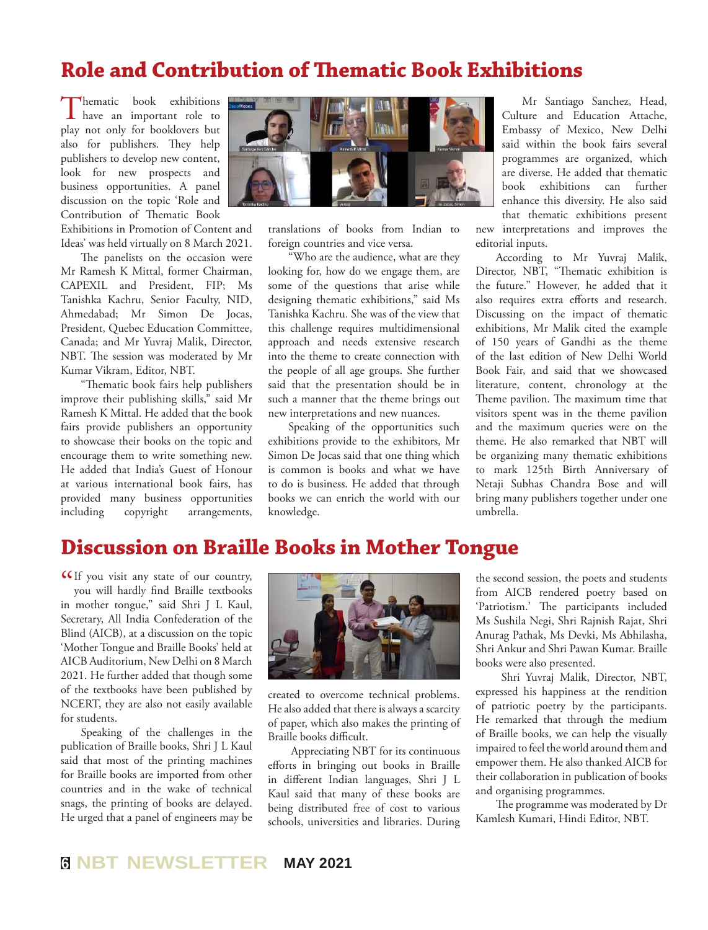## **Role and Contribution of Thematic Book Exhibitions**

Thematic book exhibitions<br>have an important role to play not only for booklovers but also for publishers. They help publishers to develop new content, look for new prospects and business opportunities. A panel discussion on the topic 'Role and Contribution of Thematic Book

Exhibitions in Promotion of Content and Ideas' was held virtually on 8 March 2021.

The panelists on the occasion were Mr Ramesh K Mittal, former Chairman, CAPEXIL and President, FIP; Ms Tanishka Kachru, Senior Faculty, NID, Ahmedabad; Mr Simon De Jocas, President, Quebec Education Committee, Canada; and Mr Yuvraj Malik, Director, NBT. The session was moderated by Mr Kumar Vikram, Editor, NBT.

"Thematic book fairs help publishers improve their publishing skills," said Mr Ramesh K Mittal. He added that the book fairs provide publishers an opportunity to showcase their books on the topic and encourage them to write something new. He added that India's Guest of Honour at various international book fairs, has provided many business opportunities including copyright arrangements,



translations of books from Indian to foreign countries and vice versa.

"Who are the audience, what are they looking for, how do we engage them, are some of the questions that arise while designing thematic exhibitions," said Ms Tanishka Kachru. She was of the view that this challenge requires multidimensional approach and needs extensive research into the theme to create connection with the people of all age groups. She further said that the presentation should be in such a manner that the theme brings out new interpretations and new nuances.

Speaking of the opportunities such exhibitions provide to the exhibitors, Mr Simon De Jocas said that one thing which is common is books and what we have to do is business. He added that through books we can enrich the world with our knowledge.

Mr Santiago Sanchez, Head, Culture and Education Attache, Embassy of Mexico, New Delhi said within the book fairs several programmes are organized, which are diverse. He added that thematic book exhibitions can further enhance this diversity. He also said that thematic exhibitions present new interpretations and improves the

editorial inputs.

According to Mr Yuvraj Malik, Director, NBT, "Thematic exhibition is the future." However, he added that it also requires extra efforts and research. Discussing on the impact of thematic exhibitions, Mr Malik cited the example of 150 years of Gandhi as the theme of the last edition of New Delhi World Book Fair, and said that we showcased literature, content, chronology at the Theme pavilion. The maximum time that visitors spent was in the theme pavilion and the maximum queries were on the theme. He also remarked that NBT will be organizing many thematic exhibitions to mark 125th Birth Anniversary of Netaji Subhas Chandra Bose and will bring many publishers together under one umbrella.

## **Discussion on Braille Books in Mother Tongue**

**CC**If you visit any state of our country,<br>you will hardly find Braille textbooks you will hardly find Braille textbooks in mother tongue," said Shri J L Kaul, Secretary, All India Confederation of the Blind (AICB), at a discussion on the topic 'Mother Tongue and Braille Books' held at AICB Auditorium, New Delhi on 8 March 2021. He further added that though some of the textbooks have been published by NCERT, they are also not easily available for students.

Speaking of the challenges in the publication of Braille books, Shri J L Kaul said that most of the printing machines for Braille books are imported from other countries and in the wake of technical snags, the printing of books are delayed. He urged that a panel of engineers may be



created to overcome technical problems. He also added that there is always a scarcity of paper, which also makes the printing of Braille books difficult.

 Appreciating NBT for its continuous efforts in bringing out books in Braille in different Indian languages, Shri J L Kaul said that many of these books are being distributed free of cost to various schools, universities and libraries. During

the second session, the poets and students from AICB rendered poetry based on 'Patriotism.' The participants included Ms Sushila Negi, Shri Rajnish Rajat, Shri Anurag Pathak, Ms Devki, Ms Abhilasha, Shri Ankur and Shri Pawan Kumar. Braille books were also presented.

 Shri Yuvraj Malik, Director, NBT, expressed his happiness at the rendition of patriotic poetry by the participants. He remarked that through the medium of Braille books, we can help the visually impaired to feel the world around them and empower them. He also thanked AICB for their collaboration in publication of books and organising programmes.

The programme was moderated by Dr Kamlesh Kumari, Hindi Editor, NBT.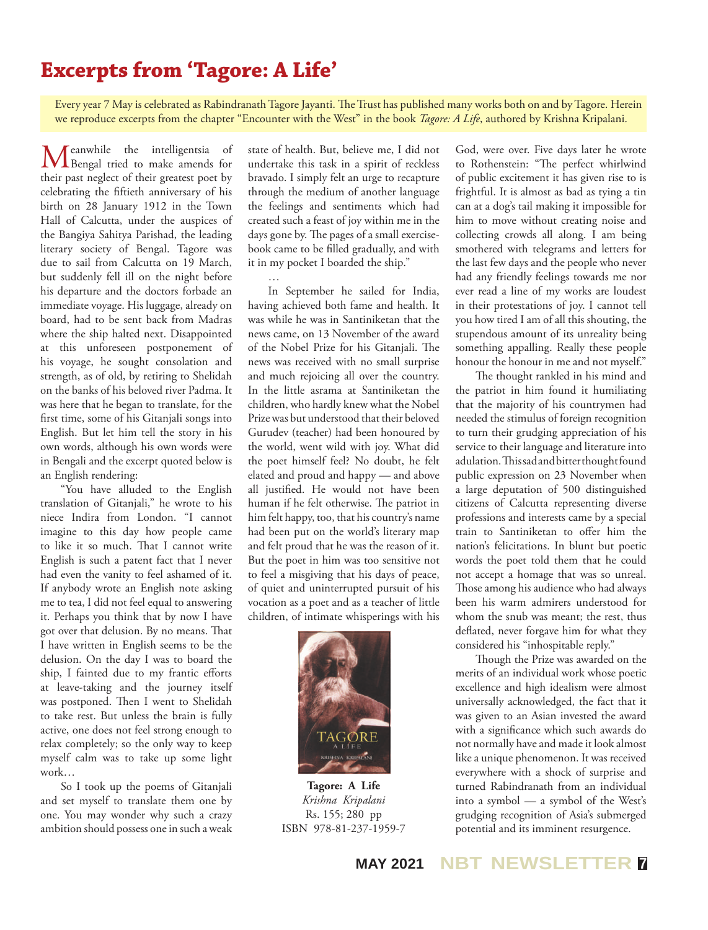## **Excerpts from 'Tagore: A Life'**

Every year 7 May is celebrated as Rabindranath Tagore Jayanti. The Trust has published many works both on and by Tagore. Herein we reproduce excerpts from the chapter "Encounter with the West" in the book *Tagore: A Life*, authored by Krishna Kripalani.

Meanwhile the intelligentsia of Bengal tried to make amends for their past neglect of their greatest poet by celebrating the fiftieth anniversary of his birth on 28 January 1912 in the Town Hall of Calcutta, under the auspices of the Bangiya Sahitya Parishad, the leading literary society of Bengal. Tagore was due to sail from Calcutta on 19 March, but suddenly fell ill on the night before his departure and the doctors forbade an immediate voyage. His luggage, already on board, had to be sent back from Madras where the ship halted next. Disappointed at this unforeseen postponement of his voyage, he sought consolation and strength, as of old, by retiring to Shelidah on the banks of his beloved river Padma. It was here that he began to translate, for the first time, some of his Gitanjali songs into English. But let him tell the story in his own words, although his own words were in Bengali and the excerpt quoted below is an English rendering:

"You have alluded to the English translation of Gitanjali," he wrote to his niece Indira from London. "I cannot imagine to this day how people came to like it so much. That I cannot write English is such a patent fact that I never had even the vanity to feel ashamed of it. If anybody wrote an English note asking me to tea, I did not feel equal to answering it. Perhaps you think that by now I have got over that delusion. By no means. That I have written in English seems to be the delusion. On the day I was to board the ship, I fainted due to my frantic efforts at leave-taking and the journey itself was postponed. Then I went to Shelidah to take rest. But unless the brain is fully active, one does not feel strong enough to relax completely; so the only way to keep myself calm was to take up some light work…

So I took up the poems of Gitanjali and set myself to translate them one by one. You may wonder why such a crazy ambition should possess one in such a weak state of health. But, believe me, I did not undertake this task in a spirit of reckless bravado. I simply felt an urge to recapture through the medium of another language the feelings and sentiments which had created such a feast of joy within me in the days gone by. The pages of a small exercisebook came to be filled gradually, and with it in my pocket I boarded the ship."

…

In September he sailed for India, having achieved both fame and health. It was while he was in Santiniketan that the news came, on 13 November of the award of the Nobel Prize for his Gitanjali. The news was received with no small surprise and much rejoicing all over the country. In the little asrama at Santiniketan the children, who hardly knew what the Nobel Prize was but understood that their beloved Gurudev (teacher) had been honoured by the world, went wild with joy. What did the poet himself feel? No doubt, he felt elated and proud and happy — and above all justified. He would not have been human if he felt otherwise. The patriot in him felt happy, too, that his country's name had been put on the world's literary map and felt proud that he was the reason of it. But the poet in him was too sensitive not to feel a misgiving that his days of peace, of quiet and uninterrupted pursuit of his vocation as a poet and as a teacher of little children, of intimate whisperings with his



**Tagore: A Life** *Krishna Kripalani* Rs. 155; 280 pp ISBN 978-81-237-1959-7

God, were over. Five days later he wrote to Rothenstein: "The perfect whirlwind of public excitement it has given rise to is frightful. It is almost as bad as tying a tin can at a dog's tail making it impossible for him to move without creating noise and collecting crowds all along. I am being smothered with telegrams and letters for the last few days and the people who never had any friendly feelings towards me nor ever read a line of my works are loudest in their protestations of joy. I cannot tell you how tired I am of all this shouting, the stupendous amount of its unreality being something appalling. Really these people honour the honour in me and not myself."

The thought rankled in his mind and the patriot in him found it humiliating that the majority of his countrymen had needed the stimulus of foreign recognition to turn their grudging appreciation of his service to their language and literature into adulation. This sad and bitter thought found public expression on 23 November when a large deputation of 500 distinguished citizens of Calcutta representing diverse professions and interests came by a special train to Santiniketan to offer him the nation's felicitations. In blunt but poetic words the poet told them that he could not accept a homage that was so unreal. Those among his audience who had always been his warm admirers understood for whom the snub was meant; the rest, thus deflated, never forgave him for what they considered his "inhospitable reply."

Though the Prize was awarded on the merits of an individual work whose poetic excellence and high idealism were almost universally acknowledged, the fact that it was given to an Asian invested the award with a significance which such awards do not normally have and made it look almost like a unique phenomenon. It was received everywhere with a shock of surprise and turned Rabindranath from an individual into a symbol — a symbol of the West's grudging recognition of Asia's submerged potential and its imminent resurgence.